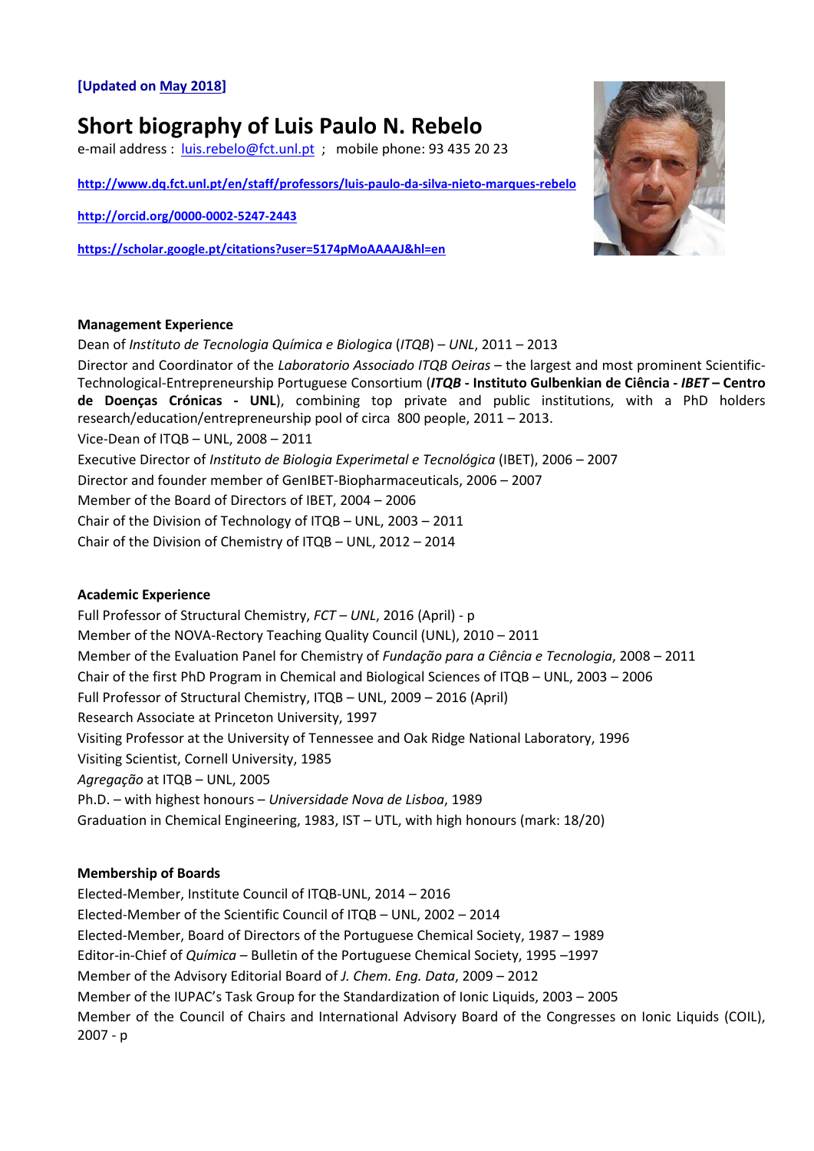## **[Updated on May 2018]**

# **Short biography of Luis Paulo N. Rebelo**

e-mail address : [luis.rebelo@fct.unl.pt](mailto:luis.rebelo@fct.unl.pt) ; mobile phone: 93 435 20 23

**<http://www.dq.fct.unl.pt/en/staff/professors/luis-paulo-da-silva-nieto-marques-rebelo>**

**<http://orcid.org/0000-0002-5247-2443>**

**<https://scholar.google.pt/citations?user=5174pMoAAAAJ&hl=en>**



### **Management Experience**

Dean of *Instituto de Tecnologia Química e Biologica* (*ITQB*) – *UNL*, 2011 – 2013 Director and Coordinator of the *Laboratorio Associado ITQB Oeiras* – the largest and most prominent Scientific-Technological-Entrepreneurship Portuguese Consortium (*ITQB* **- Instituto Gulbenkian de Ciência -** *IBET* **– Centro de Doenças Crónicas - UNL**), combining top private and public institutions, with a PhD holders research/education/entrepreneurship pool of circa 800 people, 2011 – 2013. Vice-Dean of ITQB – UNL, 2008 – 2011 Executive Director of *Instituto de Biologia Experimetal e Tecnológica* (IBET), 2006 – 2007 Director and founder member of GenIBET-Biopharmaceuticals, 2006 – 2007 Member of the Board of Directors of IBET, 2004 – 2006 Chair of the Division of Technology of ITQB – UNL, 2003 – 2011 Chair of the Division of Chemistry of ITQB – UNL, 2012 – 2014

#### **Academic Experience**

Full Professor of Structural Chemistry, *FCT – UNL*, 2016 (April) - p Member of the NOVA-Rectory Teaching Quality Council (UNL), 2010 – 2011 Member of the Evaluation Panel for Chemistry of *Fundação para a Ciência e Tecnologia*, 2008 – 2011 Chair of the first PhD Program in Chemical and Biological Sciences of ITQB – UNL, 2003 – 2006 Full Professor of Structural Chemistry, ITQB – UNL, 2009 – 2016 (April) Research Associate at Princeton University, 1997 Visiting Professor at the University of Tennessee and Oak Ridge National Laboratory, 1996 Visiting Scientist, Cornell University, 1985 *Agregação* at ITQB – UNL, 2005 Ph.D. – with highest honours – *Universidade Nova de Lisboa*, 1989 Graduation in Chemical Engineering, 1983, IST – UTL, with high honours (mark: 18/20)

## **Membership of Boards**

Elected-Member, Institute Council of ITQB-UNL, 2014 – 2016 Elected-Member of the Scientific Council of ITQB – UNL, 2002 – 2014 Elected-Member, Board of Directors of the Portuguese Chemical Society, 1987 – 1989 Editor-in-Chief of *Química* – Bulletin of the Portuguese Chemical Society, 1995 –1997 Member of the Advisory Editorial Board of *J. Chem. Eng. Data*, 2009 – 2012 Member of the IUPAC's Task Group for the Standardization of Ionic Liquids, 2003 – 2005 Member of the Council of Chairs and International Advisory Board of the Congresses on Ionic Liquids (COIL), 2007 - p